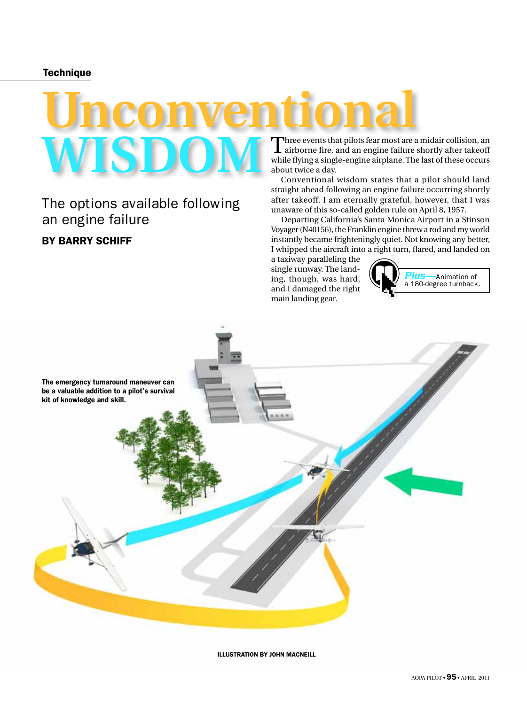#### **Technique**

# **Unconventional wisdom**

The options available following an engine failure By Barry Schiff

Three events that pilots fear most are a midair collision, an airborne fire, and an engine failure shortly after takeoff while flying a single-engine airplane. The last of these occurs about twice a day.

Conventional wisdom states that a pilot should land straight ahead following an engine failure occurring shortly after takeoff. I am eternally grateful, however, that I was unaware of this so-called golden rule on April 8, 1957.

Departing California's Santa Monica Airport in a Stinson Voyager (N40156), the Franklin engine threw a rod and my world instantly became frighteningly quiet. Not knowing any better, I whipped the aircraft into a right turn, flared, and landed on

a taxiway paralleling the single runway. The landing, though, was hard, and I damaged the right main landing gear.





illustration by john macneill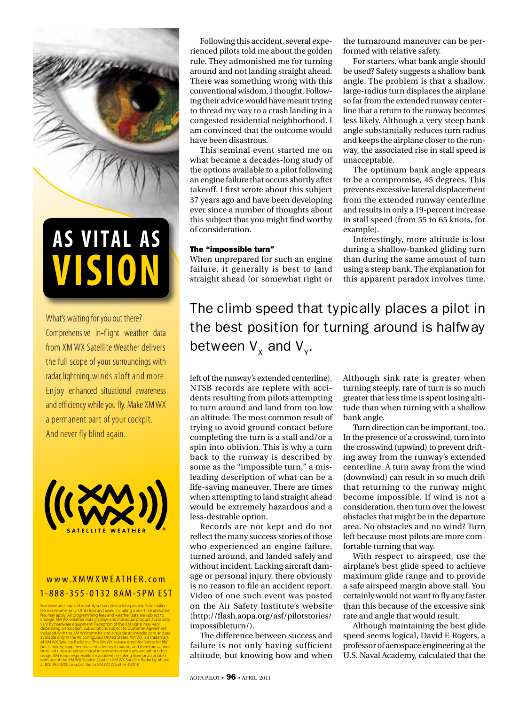

## **VISION AS VITAL AS**

What's waiting for you out there? Comprehensive in-flight weather data from XM WX Satellite Weather delivers the full scope of your surroundings with radar, lightning, winds aloft and more. Enjoy enhanced situational awareness and efficiency while you fly. Make XM WX a permanent part of your cockpit. And never fly blind again.



### www.XMWXWEATHER.com 1 - 8 8 8 - 3 5 5 - 0 1 3 2 8 A M - 5 P M E S T

Hardware and required monthly subscription sold separately. Subscription fee is consumer only. Other fees and taxes, including a one-time activation fee, may apply. All programming fees and weather data are subject to change. XM WX weather data displays and individual product availability vary by hardware equipment. Reception of the XM signal may vary depending on location. Subscriptions subject to Customer Agreement included with the XM Welcome Kit and available at xmradio.com and are available only in the 48 contiguous United States. XM WX is a trademark of XM WX Satellite Radio Inc. The XM WX service is not for "safety for life", but is merely supplemental and advisory in nature, and therefore cannot be relied upon as safety-critical in connection with any aircraft or other usage. XM is not responsible for accidents resulting from or associated with use of the XM WX Service. Contact XM WX Satellite Radio by phone at 800.985.9200 to subscribe to XM WX Weather. ©2010

Following this accident, several experienced pilots told me about the golden rule. They admonished me for turning around and not landing straight ahead. There was something wrong with this conventional wisdom, I thought. Following their advice would have meant trying to thread my way to a crash landing in a congested residential neighborhood. I am convinced that the outcome would have been disastrous.

This seminal event started me on what became a decades-long study of the options available to a pilot following an engine failure that occurs shortly after takeoff. I first wrote about this subject 37 years ago and have been developing ever since a number of thoughts about this subject that you might find worthy of consideration.

#### The "impossible turn"

When unprepared for such an engine failure, it generally is best to land straight ahead (or somewhat right or the turnaround maneuver can be performed with relative safety.

For starters, what bank angle should be used? Safety suggests a shallow bank angle. The problem is that a shallow, large-radius turn displaces the airplane so far from the extended runway centerline that a return to the runway becomes less likely. Although a very steep bank angle substantially reduces turn radius and keeps the airplane closer to the runway, the associated rise in stall speed is unacceptable.

The optimum bank angle appears to be a compromise, 45 degrees. This prevents excessive lateral displacement from the extended runway centerline and results in only a 19-percent increase in stall speed (from 55 to 65 knots, for example).

Interestingly, more altitude is lost during a shallow-banked gliding turn than during the same amount of turn using a steep bank. The explanation for this apparent paradox involves time.

The climb speed that typically places a pilot in the best position for turning around is halfway between  $\mathsf{V}_{\mathsf{x}}$  and  $\mathsf{V}_{\mathsf{y}}$ .

left of the runway's extended centerline). NTSB records are replete with accidents resulting from pilots attempting to turn around and land from too low an altitude. The most common result of trying to avoid ground contact before completing the turn is a stall and/or a spin into oblivion. This is why a turn back to the runway is described by some as the "impossible turn," a misleading description of what can be a life-saving maneuver. There are times when attempting to land straight ahead would be extremely hazardous and a less-desirable option.

Records are not kept and do not reflect the many success stories of those who experienced an engine failure, turned around, and landed safely and without incident. Lacking aircraft damage or personal injury, there obviously is no reason to file an accident report. Video of one such event was posted on the Air Safety Institute's website (http://flash.aopa.org/asf/pilotstories/ impossibleturn/).

The difference between success and failure is not only having sufficient altitude, but knowing how and when Although sink rate is greater when turning steeply, rate of turn is so much greater that less time is spent losing altitude than when turning with a shallow bank angle.

Turn direction can be important, too. In the presence of a crosswind, turn into the crosswind (upwind) to prevent drifting away from the runway's extended centerline. A turn away from the wind (downwind) can result in so much drift that returning to the runway might become impossible. If wind is not a consideration, then turn over the lowest obstacles that might be in the departure area. No obstacles and no wind? Turn left because most pilots are more comfortable turning that way.

With respect to airspeed, use the airplane's best glide speed to achieve maximum glide range and to provide a safe airspeed margin above stall. You certainly would not want to fly any faster than this because of the excessive sink rate and angle that would result.

Although maintaining the best glide speed seems logical, David F. Rogers, a professor of aerospace engineering at the U.S. Naval Academy, calculated that the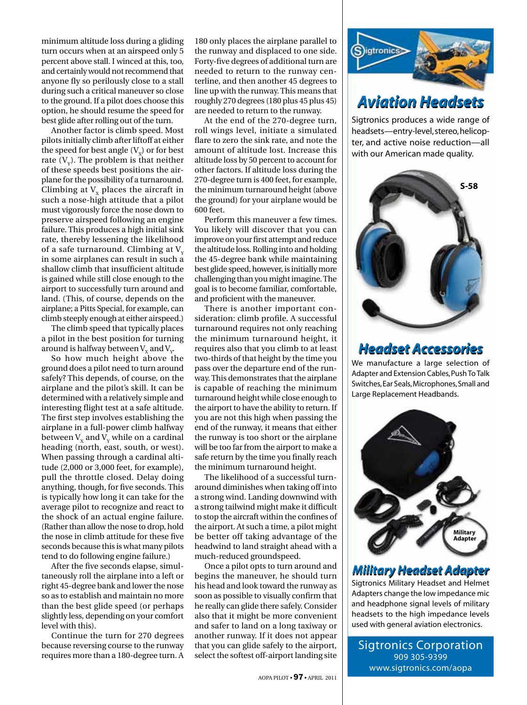minimum altitude loss during a gliding turn occurs when at an airspeed only 5 percent above stall. I winced at this, too, and certainly would not recommend that anyone fly so perilously close to a stall during such a critical maneuver so close to the ground. If a pilot does choose this option, he should resume the speed for best glide after rolling out of the turn.

Another factor is climb speed. Most pilots initially climb after liftoff at either the speed for best angle  $(V_y)$  or for best rate  $(V_y)$ . The problem is that neither of these speeds best positions the airplane for the possibility of a turnaround. Climbing at  $V_y$  places the aircraft in such a nose-high attitude that a pilot must vigorously force the nose down to preserve airspeed following an engine failure. This produces a high initial sink rate, thereby lessening the likelihood of a safe turnaround. Climbing at  $V_y$ in some airplanes can result in such a shallow climb that insufficient altitude is gained while still close enough to the airport to successfully turn around and land. (This, of course, depends on the airplane; a Pitts Special, for example, can climb steeply enough at either airspeed.)

The climb speed that typically places a pilot in the best position for turning around is halfway between  $\rm V_x$  and  $\rm V_y$ .

So how much height above the ground does a pilot need to turn around safely? This depends, of course, on the airplane and the pilot's skill. It can be determined with a relatively simple and interesting flight test at a safe altitude. The first step involves establishing the airplane in a full-power climb halfway between  $V_x$  and  $V_y$  while on a cardinal heading (north, east, south, or west). When passing through a cardinal altitude (2,000 or 3,000 feet, for example), pull the throttle closed. Delay doing anything, though, for five seconds. This is typically how long it can take for the average pilot to recognize and react to the shock of an actual engine failure. (Rather than allow the nose to drop, hold the nose in climb attitude for these five seconds because this is what many pilots tend to do following engine failure.)

After the five seconds elapse, simultaneously roll the airplane into a left or right 45-degree bank and lower the nose so as to establish and maintain no more than the best glide speed (or perhaps slightly less, depending on your comfort level with this).

Continue the turn for 270 degrees because reversing course to the runway requires more than a 180-degree turn. A

180 only places the airplane parallel to the runway and displaced to one side. Forty-five degrees of additional turn are needed to return to the runway centerline, and then another 45 degrees to line up with the runway. This means that roughly 270 degrees (180 plus 45 plus 45) are needed to return to the runway.

At the end of the 270-degree turn, roll wings level, initiate a simulated flare to zero the sink rate, and note the amount of altitude lost. Increase this altitude loss by 50 percent to account for other factors. If altitude loss during the 270-degree turn is 400 feet, for example, the minimum turnaround height (above the ground) for your airplane would be 600 feet.

Perform this maneuver a few times. You likely will discover that you can improve on your first attempt and reduce the altitude loss. Rolling into and holding the 45-degree bank while maintaining best glide speed, however, is initially more challenging than you might imagine. The goal is to become familiar, comfortable, and proficient with the maneuver.

There is another important consideration: climb profile. A successful turnaround requires not only reaching the minimum turnaround height, it requires also that you climb to at least two-thirds of that height by the time you pass over the departure end of the runway. This demonstrates that the airplane is capable of reaching the minimum turnaround height while close enough to the airport to have the ability to return. If you are not this high when passing the end of the runway, it means that either the runway is too short or the airplane will be too far from the airport to make a safe return by the time you finally reach the minimum turnaround height.

The likelihood of a successful turnaround diminishes when taking off into a strong wind. Landing downwind with a strong tailwind might make it difficult to stop the aircraft within the confines of the airport. At such a time, a pilot might be better off taking advantage of the headwind to land straight ahead with a much-reduced groundspeed.

Once a pilot opts to turn around and begins the maneuver, he should turn his head and look toward the runway as soon as possible to visually confirm that he really can glide there safely. Consider also that it might be more convenient and safer to land on a long taxiway or another runway. If it does not appear that you can glide safely to the airport, select the softest off-airport landing site



## *Aviation Headsets*

Sigtronics produces a wide range of headsets—entry-level, stereo, helicopter, and active noise reduction—all with our American made quality.



## *Headset Accessories*

We manufacture a large selection of Adapter and Extension Cables, Push To Talk Switches, Ear Seals, Microphones, Small and Large Replacement Headbands.



### *Military Headset Adapter*

Sigtronics Military Headset and Helmet Adapters change the low impedance mic and headphone signal levels of military headsets to the high impedance levels used with general aviation electronics.

Sigtronics Corporation 909 305-9399 www.sigtronics.com/aopa